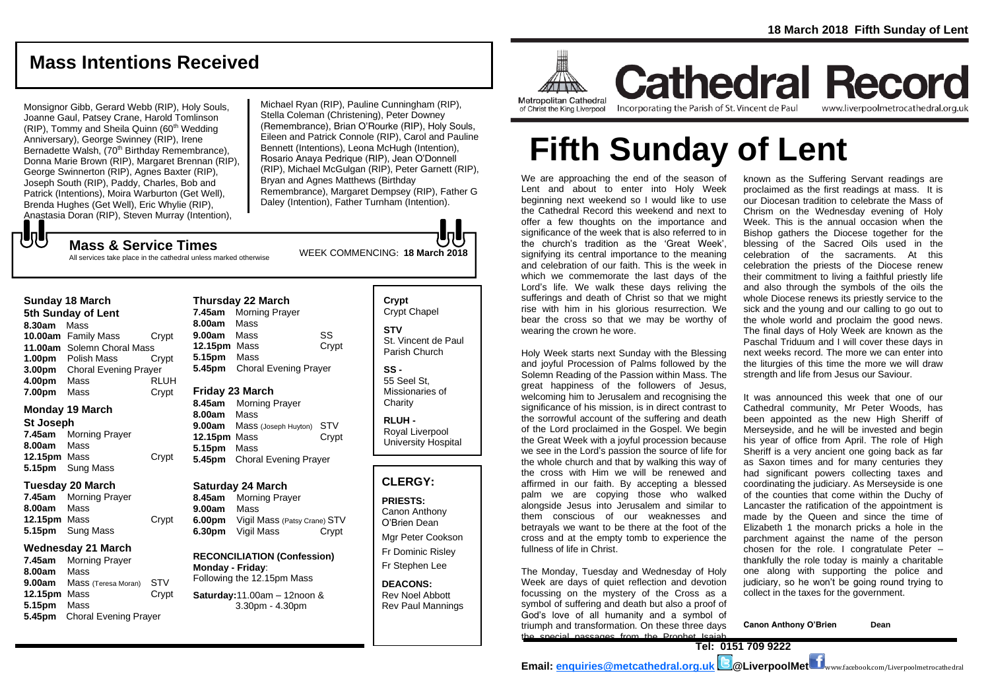# **Mass Intentions Received**

Monsignor Gibb, Gerard Webb (RIP), Holy Souls, Joanne Gaul, Patsey Crane, Harold Tomlinson  $(RIP)$ , Tommy and Sheila Quinn  $(60<sup>th</sup>$  Wedding Anniversary), George Swinney (RIP), Irene Bernadette Walsh, (70<sup>th</sup> Birthday Remembrance), Donna Marie Brown (RIP), Margaret Brennan (RIP), George Swinnerton (RIP), Agnes Baxter (RIP), Joseph South (RIP), Paddy, Charles, Bob and Patrick (Intentions), Moira Warburton (Get Well), Brenda Hughes (Get Well), Eric Whylie (RIP), Anastasia Doran (RIP), Steven Murray (Intention),

Michael Ryan (RIP), Pauline Cunningham (RIP), Stella Coleman (Christening), Peter Downey (Remembrance), Brian O'Rourke (RIP), Holy Souls, Eileen and Patrick Connole (RIP), Carol and Pauline Bennett (Intentions), Leona McHugh (Intention), Rosario Anaya Pedrique (RIP), Jean O'Donnell (RIP), Michael McGulgan (RIP), Peter Garnett (RIP), Bryan and Agnes Matthews (Birthday Remembrance), Margaret Dempsey (RIP), Father G Daley (Intention), Father Turnham (Intention).

WEEK COMMENCING: **18 March <sup>2018</sup> Mass & Service Times** All services take place in the cathedral unless marked otherwise

#### **Sunday 18 March**

もし

**5th Sunday of Lent 8.30am** Mass **10.00am** Family Mass Crypt **11.00am** Solemn Choral Mass **1.00pm** Polish Mass Crypt **3.00pm** Choral Evening Prayer **4.00pm** Mass RLUH **7.00pm** Mass Crypt

### **Monday 19 March**

#### **St Joseph**

**7.45am** Morning Prayer **8.00am** Mass **12.15pm** Mass Crypt **5.15pm** Sung Mass

#### **Tuesday 20 March**

**7.45am** Morning Prayer **8.00am** Mass **12.15pm** Mass Crypt **5.15pm** Sung Mass

#### **Wednesday 21 March**

**7.45am** Morning Prayer **8.00am** Mass **9.00am** Mass (Teresa Moran) STV **12.15pm** Mass Crypt **5.15pm** Mass **5.45pm** Choral Evening Prayer

#### **Thursday 22 March 7.45am** Morning Prayer **8.00am** Mass **9.00am** Mass SS **12.15pm** Mass Crypt **5.15pm** Mass

**5.45pm** Choral Evening Prayer

# **Friday 23 March**

**8.45am** Morning Prayer **8.00am** Mass **9.00am** Mass (Joseph Huyton) STV **12.15pm** Mass Crypt **5.15pm** Mass **5.45pm** Choral Evening Prayer

#### **Saturday 24 March**

**8.45am** Morning Prayer **9.00am** Mass **6.00pm** Vigil Mass (Patsy Crane) STV **6.30pm** Vigil Mass Crypt

**RECONCILIATION (Confession) Monday - Friday**: Following the 12.15pm Mass

### **Saturday:**11.00am – 12noon & 3.30pm - 4.30pm

# **Crypt**  Crypt Chapel **STV** St. Vincent de Paul Parish Church

**SS -** 55 Seel St, Missionaries of **Charity** 

**RLUH -** Royal Liverpool University Hospital

# **CLERGY:**

**PRIESTS:** Canon Anthony O'Brien *Dean*

Mgr Peter Cookson Fr Dominic Risley Fr Stephen Lee

**DEACONS:** Rev Noel Abbott Rev Paul Mannings



of Christ the King Liverpool

**Cathedral Record** Incorporating the Parish of St. Vincent de Paul www.liverpoolmetrocathedral.org.uk

# **Fifth Sunday of Lent**

We are approaching the end of the season of Lent and about to enter into Holy Week beginning next weekend so I would like to use the Cathedral Record this weekend and next to offer a few thoughts on the importance and significance of the week that is also referred to in the church's tradition as the 'Great Week', signifying its central importance to the meaning and celebration of our faith. This is the week in which we commemorate the last days of the Lord's life. We walk these days reliving the sufferings and death of Christ so that we might rise with him in his glorious resurrection. We bear the cross so that we may be worthy of wearing the crown he wore.

Holy Week starts next Sunday with the Blessing and joyful Procession of Palms followed by the Solemn Reading of the Passion within Mass. The great happiness of the followers of Jesus, welcoming him to Jerusalem and recognising the significance of his mission, is in direct contrast to the sorrowful account of the suffering and death of the Lord proclaimed in the Gospel. We begin the Great Week with a joyful procession because we see in the Lord's passion the source of life for the whole church and that by walking this way of the cross with Him we will be renewed and affirmed in our faith. By accepting a blessed palm we are copying those who walked alongside Jesus into Jerusalem and similar to them conscious of our weaknesses and betrayals we want to be there at the foot of the cross and at the empty tomb to experience the fullness of life in Christ.

The Monday, Tuesday and Wednesday of Holy Week are days of quiet reflection and devotion focussing on the mystery of the Cross as a symbol of suffering and death but also a proof of God's love of all humanity and a symbol of triumph and transformation. On these three days the special passages from the Prophet Isaiah

known as the Suffering Servant readings are proclaimed as the first readings at mass. It is our Diocesan tradition to celebrate the Mass of Chrism on the Wednesday evening of Holy Week. This is the annual occasion when the Bishop gathers the Diocese together for the blessing of the Sacred Oils used in the celebration of the sacraments. At this celebration the priests of the Diocese renew their commitment to living a faithful priestly life and also through the symbols of the oils the whole Diocese renews its priestly service to the sick and the young and our calling to go out to the whole world and proclaim the good news. The final days of Holy Week are known as the Paschal Triduum and I will cover these days in next weeks record. The more we can enter into the liturgies of this time the more we will draw strength and life from Jesus our Saviour.

It was announced this week that one of our Cathedral community, Mr Peter Woods, has been appointed as the new High Sheriff of Merseyside, and he will be invested and begin his year of office from April. The role of High Sheriff is a very ancient one going back as far as Saxon times and for many centuries they had significant powers collecting taxes and coordinating the judiciary. As Merseyside is one of the counties that come within the Duchy of Lancaster the ratification of the appointment is made by the Queen and since the time of Elizabeth 1 the monarch pricks a hole in the parchment against the name of the person chosen for the role. I congratulate Peter – thankfully the role today is mainly a charitable one along with supporting the police and judiciary, so he won't be going round trying to collect in the taxes for the government.

**Canon Anthony O'Brien Dean**

**Tel: 0151 709 9222**